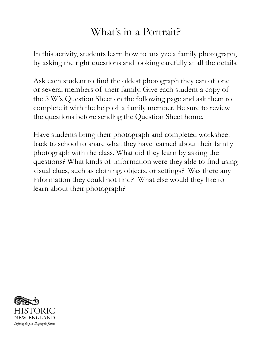## What's in a Portrait?

In this activity, students learn how to analyze a family photograph, by asking the right questions and looking carefully at all the details.

Ask each student to find the oldest photograph they can of one or several members of their family. Give each student a copy of the 5 W's Question Sheet on the following page and ask them to complete it with the help of a family member. Be sure to review the questions before sending the Question Sheet home.

Have students bring their photograph and completed worksheet back to school to share what they have learned about their family photograph with the class. What did they learn by asking the questions? What kinds of information were they able to find using visual clues, such as clothing, objects, or settings? Was there any information they could not find? What else would they like to learn about their photograph?